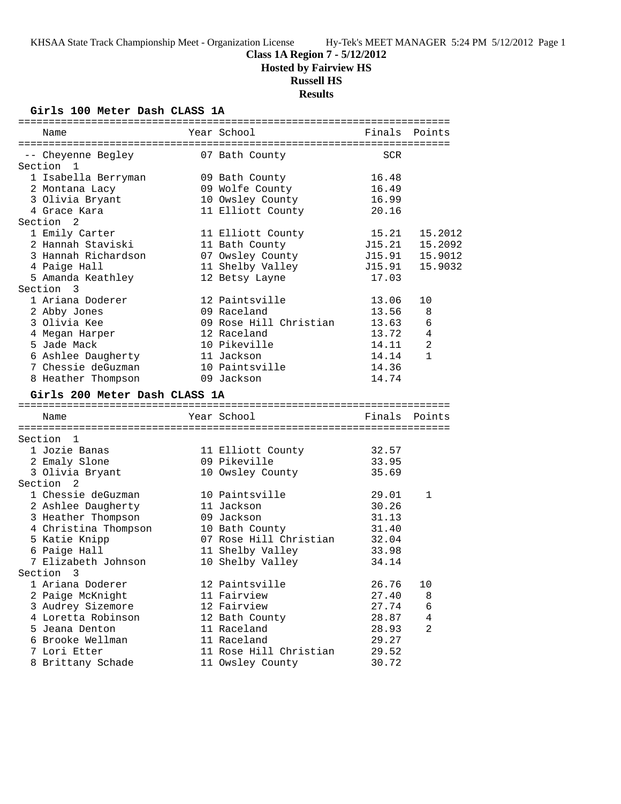### **Class 1A Region 7 - 5/12/2012**

**Hosted by Fairview HS**

### **Russell HS**

**Results**

### **Girls 100 Meter Dash CLASS 1A**

| Year School<br>Name                     | Finals<br>Points      |
|-----------------------------------------|-----------------------|
| -- Cheyenne Begley 67 Bath County       | SCR                   |
| Section 1                               |                       |
| 1 Isabella Berryman<br>09 Bath County   | 16.48                 |
| 09 Wolfe County<br>2 Montana Lacy       | 16.49                 |
| 3 Olivia Bryant<br>10 Owsley County     | 16.99                 |
| 4 Grace Kara<br>11 Elliott County       | 20.16                 |
| Section <sub>2</sub>                    |                       |
| 1 Emily Carter<br>11 Elliott County     | 15.21<br>15.2012      |
| 2 Hannah Staviski<br>11 Bath County     | J15.21<br>15.2092     |
| 3 Hannah Richardson<br>07 Owsley County | J15.91<br>15.9012     |
| 11 Shelby Valley<br>4 Paige Hall        | 15.9032<br>J15.91     |
| 5 Amanda Keathley<br>12 Betsy Layne     | 17.03                 |
| Section 3                               |                       |
| 1 Ariana Doderer<br>12 Paintsville      | 13.06<br>10           |
| 2 Abby Jones<br>09 Raceland             | 13.56<br>8            |
| 3 Olivia Kee<br>09 Rose Hill Christian  | 13.63<br>6            |
| 12 Raceland<br>4 Megan Harper           | 13.72<br>4            |
| 10 Pikeville<br>5 Jade Mack             | 2<br>14.11            |
| 6 Ashlee Daugherty<br>11 Jackson        | 14.14<br>$\mathbf{1}$ |
| 7 Chessie deGuzman<br>10 Paintsville    | 14.36                 |
| 8 Heather Thompson<br>09 Jackson        | 14.74                 |
|                                         |                       |
| Girls 200 Meter Dash CLASS 1A           |                       |
| Year School<br>Name                     | Finals Points         |
|                                         |                       |
| Section 1                               |                       |
| 1 Jozie Banas<br>11 Elliott County      | 32.57                 |
| 09 Pikeville<br>2 Emaly Slone           | 33.95                 |
| 3 Olivia Bryant<br>10 Owsley County     | 35.69                 |
| Section <sub>2</sub>                    |                       |
| 1 Chessie deGuzman<br>10 Paintsville    | 29.01<br>$\mathbf 1$  |
| 2 Ashlee Daugherty<br>11 Jackson        | 30.26                 |
| 3 Heather Thompson<br>09 Jackson        | 31.13                 |
| 4 Christina Thompson<br>10 Bath County  | 31.40                 |
| 5 Katie Knipp<br>07 Rose Hill Christian | 32.04                 |
| 6 Paige Hall<br>11 Shelby Valley        | 33.98                 |
| 7 Elizabeth Johnson<br>10 Shelby Valley | 34.14                 |
| Section 3                               |                       |
| 12 Paintsville<br>1 Ariana Doderer      | 26.76<br>10           |
| 2 Paige McKnight<br>11 Fairview         | 27.40<br>8            |
| 3 Audrey Sizemore<br>12 Fairview        | 27.74<br>6            |
| 4 Loretta Robinson<br>12 Bath County    | 28.87<br>4            |
| 5 Jeana Denton<br>11 Raceland           | 2<br>28.93            |
| 11 Raceland<br>6 Brooke Wellman         | 29.27                 |
| 11 Rose Hill Christian<br>7 Lori Etter  |                       |
|                                         | 29.52                 |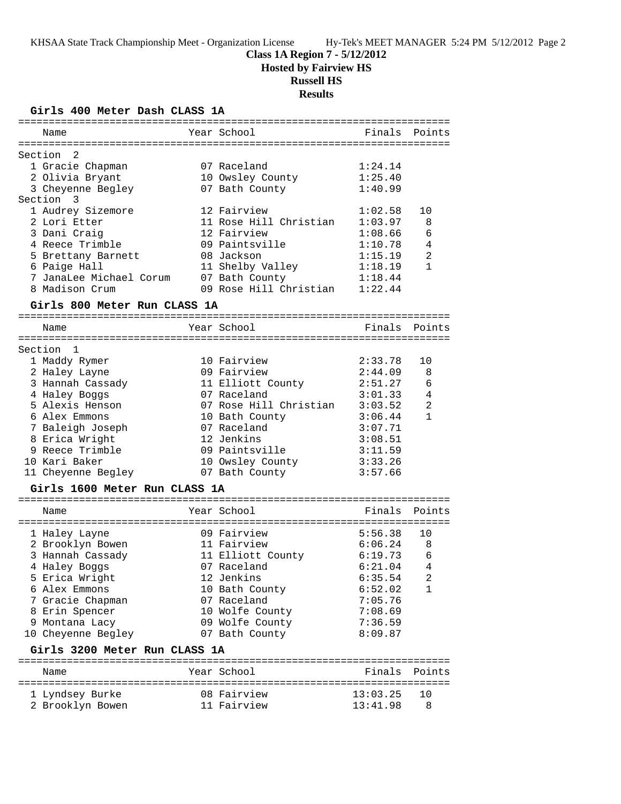### **Class 1A Region 7 - 5/12/2012**

**Hosted by Fairview HS**

# **Russell HS**

**Results**

**Girls 400 Meter Dash CLASS 1A**

| ===========                   | =================================== |          |                |
|-------------------------------|-------------------------------------|----------|----------------|
| Name                          | Year School                         | Finals   | Points         |
|                               |                                     |          |                |
| Section<br>2                  |                                     |          |                |
| 1 Gracie Chapman              | 07 Raceland                         | 1:24.14  |                |
| 2 Olivia Bryant               | 10 Owsley County                    | 1:25.40  |                |
| 3 Cheyenne Begley             | 07 Bath County                      | 1:40.99  |                |
| Section<br>3                  |                                     |          |                |
| 1 Audrey Sizemore             | 12 Fairview                         | 1:02.58  | 10             |
| 2 Lori Etter                  | 11 Rose Hill Christian              | 1:03.97  | 8              |
| 3 Dani Craig                  | 12 Fairview                         | 1:08.66  | 6              |
| 4 Reece Trimble               | 09 Paintsville                      | 1:10.78  | 4              |
| 5 Brettany Barnett            | 08 Jackson                          | 1:15.19  | $\overline{2}$ |
| 6 Paige Hall                  | 11 Shelby Valley                    | 1:18.19  | $\mathbf{1}$   |
| 7 JanaLee Michael Corum       | 07 Bath County                      | 1:18.44  |                |
| 8 Madison Crum                | 09 Rose Hill Christian              | 1:22.44  |                |
|                               |                                     |          |                |
| Girls 800 Meter Run CLASS 1A  |                                     |          |                |
| Name                          | Year School                         | Finals   | Points         |
|                               |                                     |          |                |
| Section<br>$\overline{1}$     |                                     |          |                |
| 1 Maddy Rymer                 | 10 Fairview                         | 2:33.78  | 10             |
| 2 Haley Layne                 | 09 Fairview                         | 2:44.09  | 8              |
| 3 Hannah Cassady              | 11 Elliott County                   | 2:51.27  | 6              |
| 4 Haley Boggs                 | 07 Raceland                         | 3:01.33  | 4              |
| 5 Alexis Henson               | 07 Rose Hill Christian              | 3:03.52  | $\overline{a}$ |
| 6 Alex Emmons                 | 10 Bath County                      | 3:06.44  | $\mathbf{1}$   |
| 7 Baleigh Joseph              | 07 Raceland                         | 3:07.71  |                |
| 8 Erica Wright                | 12 Jenkins                          | 3:08.51  |                |
| 9 Reece Trimble               | 09 Paintsville                      | 3:11.59  |                |
| 10 Kari Baker                 | 10 Owsley County                    | 3:33.26  |                |
| 11 Cheyenne Begley            | 07 Bath County                      | 3:57.66  |                |
|                               |                                     |          |                |
| Girls 1600 Meter Run CLASS 1A |                                     |          |                |
| Name                          | Year School                         | Finals   | Points         |
|                               |                                     |          |                |
| 1 Haley Layne                 | 09 Fairview                         | 5:56.38  | 10             |
| 2 Brooklyn Bowen              | 11 Fairview                         | 6:06.24  | 8              |
| 3 Hannah Cassady              | 11 Elliott County                   | 6:19.73  | 6              |
| 4 Haley Boggs                 | 07 Raceland                         | 6:21.04  | 4              |
| 5 Erica Wright                | 12 Jenkins                          | 6:35.54  | 2              |
| 6 Alex Emmons                 | 10 Bath County                      | 6:52.02  | 1              |
| 7 Gracie Chapman              | 07 Raceland                         | 7:05.76  |                |
| 8 Erin Spencer                | 10 Wolfe County                     | 7:08.69  |                |
| 9 Montana Lacy                | 09 Wolfe County                     | 7:36.59  |                |
| 10 Cheyenne Begley            | 07 Bath County                      | 8:09.87  |                |
| Girls 3200 Meter Run CLASS 1A |                                     |          |                |
|                               |                                     |          |                |
| Name                          | Year School                         | Finals   | Points         |
| 1 Lyndsey Burke               | 08 Fairview                         | 13:03.25 | 10             |
| 2 Brooklyn Bowen              | 11 Fairview                         | 13:41.98 | 8              |
|                               |                                     |          |                |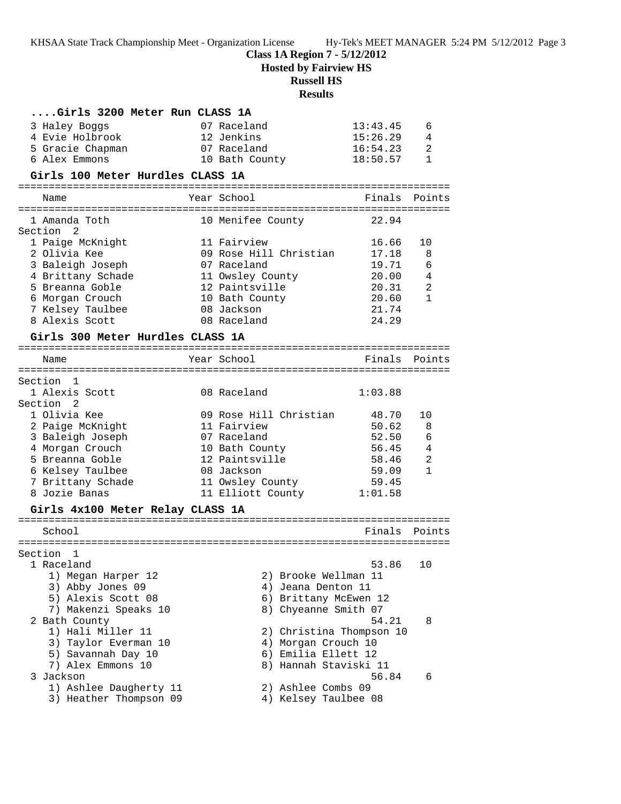### **Class 1A Region 7 - 5/12/2012**

**Hosted by Fairview HS**

# **Russell HS**

### **Results**

| Girls 3200 Meter Run CLASS 1A              |                                            |                      |                |
|--------------------------------------------|--------------------------------------------|----------------------|----------------|
| 3 Haley Boggs                              | 07 Raceland                                | 13:43.45             | 6              |
| 4 Evie Holbrook<br>5 Gracie Chapman        | 12 Jenkins<br>07 Raceland                  | 15:26.29<br>16:54.23 | 4<br>2         |
| 6 Alex Emmons                              | 10 Bath County                             | 18:50.57             | $\mathbf{1}$   |
| Girls 100 Meter Hurdles CLASS 1A           |                                            |                      |                |
| Name                                       | Year School                                | Finals Points        |                |
|                                            |                                            |                      |                |
| 1 Amanda Toth<br>Section <sub>2</sub>      | 10 Menifee County                          | 22.94                |                |
| 1 Paige McKnight                           | 11 Fairview                                | 16.66                | 10             |
| 2 Olivia Kee                               | 09 Rose Hill Christian                     | 17.18                | 8              |
| 3 Baleigh Joseph                           | 07 Raceland                                | 19.71                | 6              |
| 4 Brittany Schade                          | 11 Owsley County                           | 20.00                | 4              |
| 5 Breanna Goble                            | 12 Paintsville                             | 20.31<br>20.60       | 2<br>1         |
| 6 Morgan Crouch<br>7 Kelsey Taulbee        | 10 Bath County<br>08 Jackson               | 21.74                |                |
| 8 Alexis Scott                             | 08 Raceland                                | 24.29                |                |
| Girls 300 Meter Hurdles CLASS 1A           |                                            |                      |                |
| Name                                       | Year School                                | Finals               | Points         |
|                                            |                                            |                      |                |
| Section 1                                  |                                            |                      |                |
| 1 Alexis Scott                             | 08 Raceland                                | 1:03.88              |                |
| Section <sub>2</sub>                       |                                            |                      |                |
| 1 Olivia Kee                               | 09 Rose Hill Christian                     | 48.70                | 10             |
| 2 Paige McKnight<br>3 Baleigh Joseph       | 11 Fairview<br>07 Raceland                 | 50.62<br>52.50       | 8<br>6         |
| 4 Morgan Crouch                            | 10 Bath County                             | 56.45                | $\overline{4}$ |
| 5 Breanna Goble                            | 12 Paintsville                             | 58.46                | 2              |
| 6 Kelsey Taulbee                           | 08 Jackson                                 | 59.09                | 1              |
| 7 Brittany Schade                          | 11 Owsley County                           | 59.45                |                |
| 8 Jozie Banas                              | 11 Elliott County 1:01.58                  |                      |                |
| Girls 4x100 Meter Relay CLASS 1A           |                                            |                      |                |
| School                                     |                                            | Finals               | Points         |
| Section 1                                  |                                            |                      |                |
| 1 Raceland                                 |                                            | 53.86 10             |                |
| 1) Megan Harper 12                         | 2) Brooke Wellman 11                       |                      |                |
| 3) Abby Jones 09                           | 4) Jeana Denton 11                         |                      |                |
| 5) Alexis Scott 08                         | 6) Brittany McEwen 12                      |                      |                |
| 7) Makenzi Speaks 10                       | 8) Chyeanne Smith 07                       |                      |                |
| 2 Bath County                              |                                            | 54.21                | 8              |
| 1) Hali Miller 11                          | 2) Christina Thompson 10                   |                      |                |
| 3) Taylor Everman 10<br>5) Savannah Day 10 | 4) Morgan Crouch 10<br>6) Emilia Ellett 12 |                      |                |
| 7) Alex Emmons 10                          | 8) Hannah Staviski 11                      |                      |                |
| 3 Jackson                                  |                                            | 56.84                | 6              |
| 1) Ashlee Daugherty 11                     | 2) Ashlee Combs 09                         |                      |                |
| 3) Heather Thompson 09                     | 4) Kelsey Taulbee 08                       |                      |                |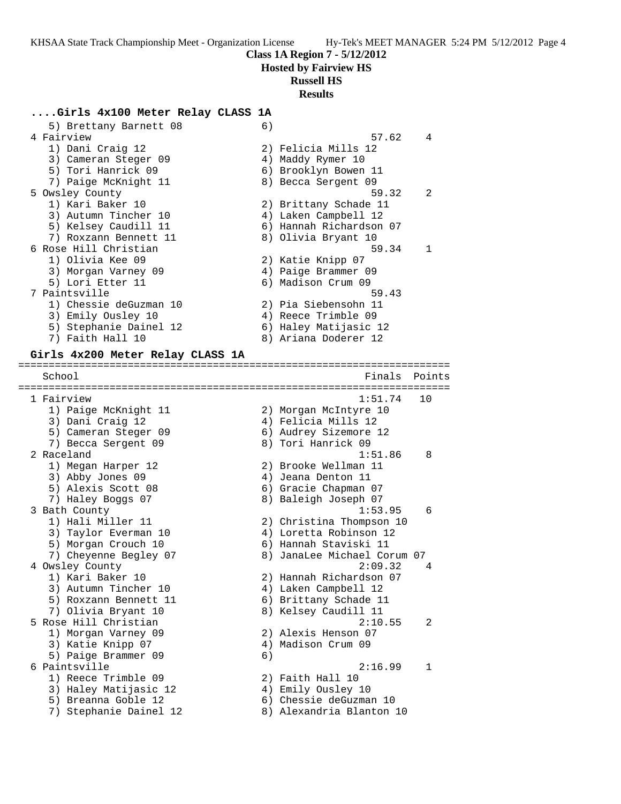### **Class 1A Region 7 - 5/12/2012**

**Hosted by Fairview HS**

## **Russell HS**

### **Results**

### **....Girls 4x100 Meter Relay CLASS 1A**

| 5) Brettany Barnett 08           | 6) |                             |        |
|----------------------------------|----|-----------------------------|--------|
| 4 Fairview                       |    | 57.62                       | 4      |
| 1) Dani Craig 12                 |    | 2) Felicia Mills 12         |        |
| 3) Cameran Steger 09             |    | 4) Maddy Rymer 10           |        |
| 5) Tori Hanrick 09               |    | 6) Brooklyn Bowen 11        |        |
| 7) Paige McKnight 11             |    | 8) Becca Sergent 09         |        |
| 5 Owsley County                  |    | 59.32                       | 2      |
| 1) Kari Baker 10                 |    | 2) Brittany Schade 11       |        |
| 3) Autumn Tincher 10             |    | 4) Laken Campbell 12        |        |
| 5) Kelsey Caudill 11             |    | 6) Hannah Richardson 07     |        |
| 7) Roxzann Bennett 11            |    | 8) Olivia Bryant 10         |        |
| 6 Rose Hill Christian            |    | 59.34                       | 1      |
| 1) Olivia Kee 09                 |    | 2) Katie Knipp 07           |        |
| 3) Morgan Varney 09              |    | 4) Paige Brammer 09         |        |
| 5) Lori Etter 11                 |    | 6) Madison Crum 09          |        |
| 7 Paintsville                    |    | 59.43                       |        |
| 1) Chessie deGuzman 10           |    | 2) Pia Siebensohn 11        |        |
| 3) Emily Ousley 10               |    | 4) Reece Trimble 09         |        |
| 5) Stephanie Dainel 12           |    | 6) Haley Matijasic 12       |        |
| 7) Faith Hall 10                 |    | 8) Ariana Doderer 12        |        |
|                                  |    |                             |        |
| Girls 4x200 Meter Relay CLASS 1A |    |                             |        |
|                                  |    |                             |        |
| School                           |    | Finals                      | Points |
|                                  |    |                             |        |
| 1 Fairview                       |    | 1:51.74                     | 10     |
| 1) Paige McKnight 11             |    | 2) Morgan McIntyre 10       |        |
| 3) Dani Craig 12                 |    | 4) Felicia Mills 12         |        |
| 5) Cameran Steger 09             |    | 6) Audrey Sizemore 12       |        |
| 7) Becca Sergent 09              |    | 8) Tori Hanrick 09          |        |
| 2 Raceland                       |    | 1:51.86                     | 8      |
| 1) Megan Harper 12               |    | 2) Brooke Wellman 11        |        |
| 3) Abby Jones 09                 |    | 4) Jeana Denton 11          |        |
| 5) Alexis Scott 08               |    | 6) Gracie Chapman 07        |        |
| 7) Haley Boggs 07                |    | 8) Baleigh Joseph 07        |        |
| 3 Bath County                    |    | 1:53.95                     | 6      |
| 1) Hali Miller 11                |    | 2) Christina Thompson 10    |        |
| 3) Taylor Everman 10             |    | 4) Loretta Robinson 12      |        |
| 5) Morgan Crouch 10              |    | 6) Hannah Staviski 11       |        |
| 7) Cheyenne Begley 07            |    | 8) JanaLee Michael Corum 07 |        |
| 4 Owsley County                  |    | 2:09.32                     | 4      |
| 1) Kari Baker 10                 |    | 2) Hannah Richardson 07     |        |
| 3) Autumn Tincher 10             |    | 4) Laken Campbell 12        |        |
| 5) Roxzann Bennett 11            |    | 6) Brittany Schade 11       |        |
| 7) Olivia Bryant 10              |    | 8) Kelsey Caudill 11        |        |
| 5 Rose Hill Christian            |    | 2:10.55                     | 2      |
| 1) Morgan Varney 09              |    | 2) Alexis Henson 07         |        |
|                                  |    |                             |        |
| 3) Katie Knipp 07                |    | 4) Madison Crum 09          |        |
| 5) Paige Brammer 09              | 6) | 2:16.99                     |        |
| 6 Paintsville                    |    |                             | 1      |
| 1) Reece Trimble 09              |    | 2) Faith Hall 10            |        |
| 3) Haley Matijasic 12            |    | 4) Emily Ousley 10          |        |
| 5) Breanna Goble 12              |    | 6) Chessie deGuzman 10      |        |
| 7) Stephanie Dainel 12           |    | 8) Alexandria Blanton 10    |        |
|                                  |    |                             |        |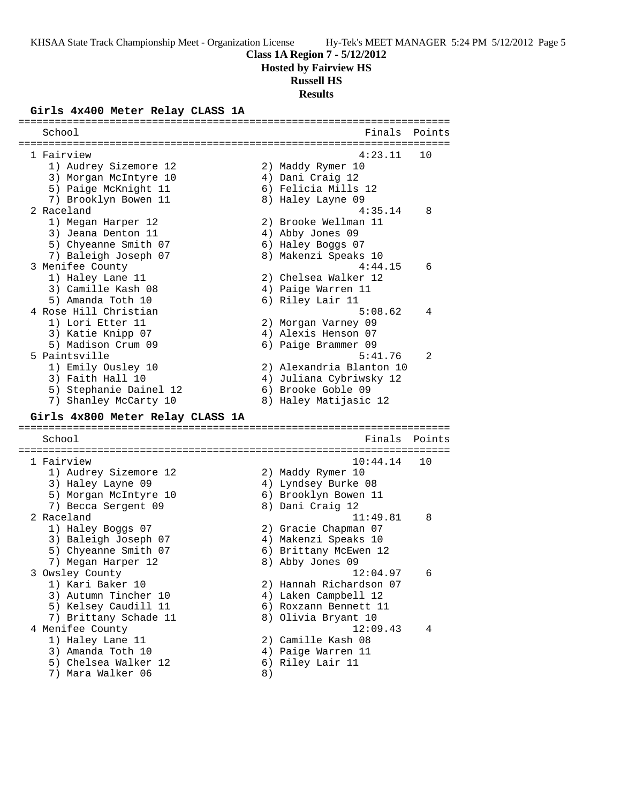**Class 1A Region 7 - 5/12/2012**

**Hosted by Fairview HS**

# **Russell HS**

**Results**

### **Girls 4x400 Meter Relay CLASS 1A**

| School                                    |    | Finals                   | Points |
|-------------------------------------------|----|--------------------------|--------|
| 1 Fairview                                |    | 4:23.11                  | 10     |
| 1) Audrey Sizemore 12                     |    | 2) Maddy Rymer 10        |        |
| 3) Morgan McIntyre 10                     |    | 4) Dani Craig 12         |        |
|                                           |    |                          |        |
| 5) Paige McKnight 11                      |    | 6) Felicia Mills 12      |        |
| 7) Brooklyn Bowen 11                      |    | 8) Haley Layne 09        |        |
| 2 Raceland                                |    | 4:35.14                  | 8      |
| 1) Megan Harper 12                        |    | 2) Brooke Wellman 11     |        |
| 3) Jeana Denton 11                        |    | 4) Abby Jones 09         |        |
| 5) Chyeanne Smith 07                      |    | 6) Haley Boggs 07        |        |
| 7) Baleigh Joseph 07                      |    | 8) Makenzi Speaks 10     |        |
| 3 Menifee County                          |    | 4:44.15                  | 6      |
| 1) Haley Lane 11                          |    | 2) Chelsea Walker 12     |        |
| 3) Camille Kash 08                        |    | 4) Paige Warren 11       |        |
| 5) Amanda Toth 10                         |    | 6) Riley Lair 11         |        |
| 4 Rose Hill Christian                     |    | 5:08.62                  | 4      |
| 1) Lori Etter 11                          |    | 2) Morgan Varney 09      |        |
| 3) Katie Knipp 07                         |    | 4) Alexis Henson 07      |        |
| 5) Madison Crum 09                        |    | 6) Paige Brammer 09      |        |
| 5 Paintsville                             |    | 5:41.76                  | 2      |
| 1) Emily Ousley 10                        |    | 2) Alexandria Blanton 10 |        |
| 3) Faith Hall 10                          |    | 4) Juliana Cybriwsky 12  |        |
| 5) Stephanie Dainel 12                    |    | 6) Brooke Goble 09       |        |
| 7) Shanley McCarty 10                     |    | 8) Haley Matijasic 12    |        |
| Girls 4x800 Meter Relay CLASS 1A          |    |                          |        |
|                                           |    |                          |        |
| School                                    |    | Finals                   | Points |
|                                           |    |                          |        |
| 1 Fairview                                |    | 10:44.14                 | 10     |
| 1) Audrey Sizemore 12                     |    | 2) Maddy Rymer 10        |        |
| 3) Haley Layne 09                         |    | 4) Lyndsey Burke 08      |        |
| 5) Morgan McIntyre 10                     |    | 6) Brooklyn Bowen 11     |        |
| 7) Becca Sergent 09                       |    | 8) Dani Craig 12         |        |
| 2 Raceland                                |    | 11:49.81                 | 8      |
| 1) Haley Boggs 07                         |    | 2) Gracie Chapman 07     |        |
| 3) Baleigh Joseph 07                      |    | 4) Makenzi Speaks 10     |        |
| 5) Chyeanne Smith 07                      |    | 6) Brittany McEwen 12    |        |
| 7) Megan Harper 12                        |    | 8) Abby Jones 09         |        |
| 3 Owsley County                           |    | 12:04.97                 | 6      |
| 1) Kari Baker 10                          |    | 2) Hannah Richardson 07  |        |
| 3) Autumn Tincher 10                      |    | 4) Laken Campbell 12     |        |
| 5) Kelsey Caudill 11                      |    | 6) Roxzann Bennett 11    |        |
| 7) Brittany Schade 11                     |    | 8) Olivia Bryant 10      |        |
| 4 Menifee County                          |    | 12:09.43                 | 4      |
| 1) Haley Lane 11                          |    | 2) Camille Kash 08       |        |
| 3) Amanda Toth 10                         |    | 4) Paige Warren 11       |        |
| 5) Chelsea Walker 12<br>7) Mara Walker 06 | 8) | 6) Riley Lair 11         |        |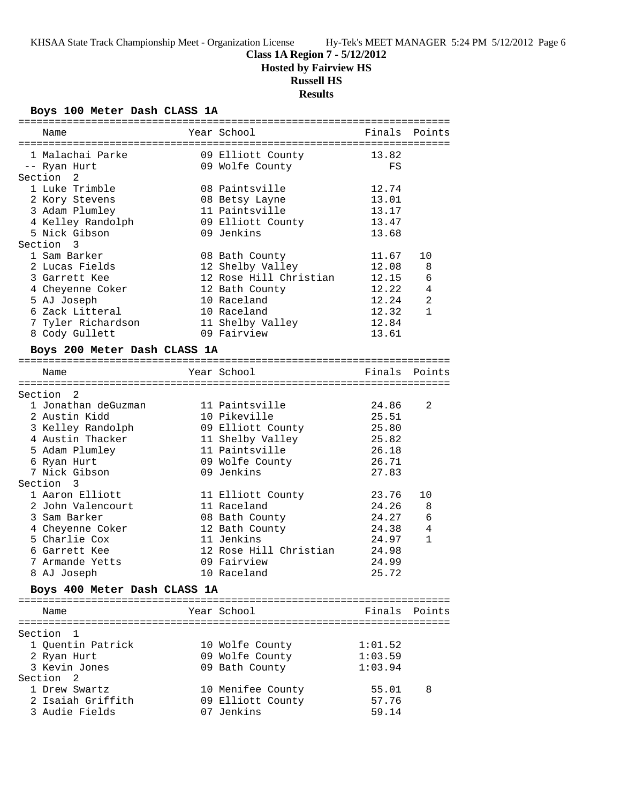### **Class 1A Region 7 - 5/12/2012**

**Hosted by Fairview HS**

## **Russell HS**

**Results**

### **Boys 100 Meter Dash CLASS 1A**

| Name                                                           | Year School                                |         | Finals Points  |
|----------------------------------------------------------------|--------------------------------------------|---------|----------------|
| 1 Malachai Parke                                               |                                            |         |                |
|                                                                | 09 Elliott County 13.82<br>09 Wolfe County | FS      |                |
| -- Ryan Hurt<br>Section 2                                      |                                            |         |                |
| 1 Luke Trimble                                                 |                                            | 12.74   |                |
|                                                                | 08 Paintsville                             |         |                |
| 2 Kory Stevens                                                 | 08 Betsy Layne                             | 13.01   |                |
| 3 Adam Plumley                                                 | 11 Paintsville                             | 13.17   |                |
| 4 Kelley Randolph                                              | 09 Elliott County                          | 13.47   |                |
| 5 Nick Gibson                                                  | 09 Jenkins                                 | 13.68   |                |
| Section 3                                                      |                                            |         |                |
| 1 Sam Barker                                                   | 08 Bath County                             | 11.67   | 10             |
| 2 Lucas Fields                                                 | 12 Shelby Valley                           | 12.08   | 8              |
| 3 Garrett Kee                                                  | 12 Rose Hill Christian                     | 12.15   | 6              |
| 4 Cheyenne Coker                                               | 12 Bath County                             | 12.22   | $\overline{4}$ |
| 5 AJ Joseph                                                    | 10 Raceland                                | 12.24   | $\overline{2}$ |
| 6 Zack Litteral                                                | 10 Raceland                                | 12.32   | $\mathbf{1}$   |
| 7 Tyler Richardson                                             | 11 Shelby Valley                           | 12.84   |                |
| 8 Cody Gullett                                                 | 09 Fairview                                | 13.61   |                |
| Boys 200 Meter Dash CLASS 1A                                   |                                            |         |                |
|                                                                |                                            |         |                |
| Name                                                           | Year School                                |         | Finals Points  |
| Section 2                                                      |                                            |         |                |
| 1 Jonathan deGuzman                                            | 11 Paintsville                             | 24.86   | 2              |
| 2 Austin Kidd                                                  | 10 Pikeville                               | 25.51   |                |
|                                                                |                                            | 25.80   |                |
| 2 Austin<br>3 Kelley Randolph<br>2 Thacker<br>4 Austin Thacker | 09 Elliott County<br>11 Shelby Valley      | 25.82   |                |
| 5 Adam Plumley                                                 | 11 Paintsville                             | 26.18   |                |
|                                                                |                                            | 26.71   |                |
| 6 Ryan Hurt                                                    | 09 Wolfe County                            |         |                |
| 7 Nick Gibson                                                  | 09 Jenkins                                 | 27.83   |                |
| Section 3                                                      |                                            |         |                |
| 1 Aaron Elliott                                                | 11 Elliott County                          | 23.76   | 10             |
| 2 John Valencourt                                              | 11 Raceland                                | 24.26   | 8              |
| 3 Sam Barker                                                   | 08 Bath County                             | 24.27   | 6              |
| 4 Cheyenne Coker                                               | 12 Bath County                             | 24.38   | 4              |
| 5 Charlie Cox                                                  | 11 Jenkins                                 | 24.97   | $\mathbf{1}$   |
| 6 Garrett Kee                                                  | 12 Rose Hill Christian                     | 24.98   |                |
| 7 Armande Yetts                                                | 09 Fairview                                | 24.99   |                |
| 8 AJ Joseph                                                    | 10 Raceland                                | 25.72   |                |
| Boys 400 Meter Dash CLASS 1A                                   |                                            |         |                |
|                                                                |                                            |         |                |
| Name                                                           | Year School                                |         | Finals Points  |
| Section 1                                                      |                                            |         |                |
|                                                                |                                            | 1:01.52 |                |
| 1 Quentin Patrick                                              | 10 Wolfe County<br>09 Wolfe County         | 1:03.59 |                |
| 2 Ryan Hurt                                                    |                                            |         |                |
| 3 Kevin Jones                                                  | 09 Bath County                             | 1:03.94 |                |
| Section <sub>2</sub>                                           |                                            |         |                |
| 1 Drew Swartz                                                  | 10 Menifee County                          | 55.01   | 8              |
| 2 Isaiah Griffith                                              | 09 Elliott County                          | 57.76   |                |
| 3 Audie Fields                                                 | 07 Jenkins                                 | 59.14   |                |
|                                                                |                                            |         |                |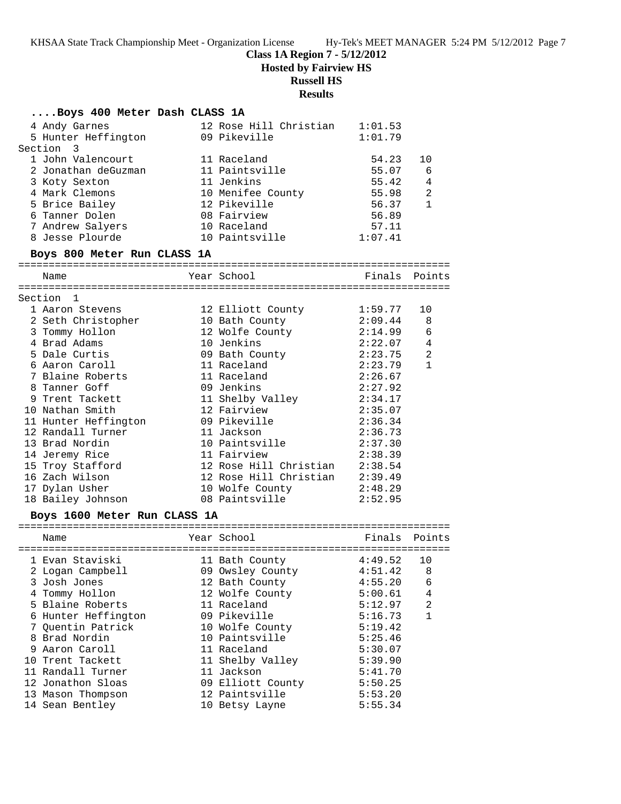### **Class 1A Region 7 - 5/12/2012**

**Hosted by Fairview HS**

## **Russell HS**

### **Results**

| Boys 400 Meter Dash CLASS 1A              |                                                     |                            |                |
|-------------------------------------------|-----------------------------------------------------|----------------------------|----------------|
| 4 Andy Garnes                             | 12 Rose Hill Christian 1:01.53                      |                            |                |
| 5 Hunter Heffington                       | 09 Pikeville                                        | 1:01.79                    |                |
| Section 3                                 |                                                     |                            |                |
| 1 John Valencourt                         | 11 Raceland                                         | 54.23                      | 10             |
| 2 Jonathan deGuzman                       | 11 Paintsville                                      | 55.07                      | - 6            |
| 3 Koty Sexton                             | 11 Jenkins                                          | 55.42                      | $\overline{4}$ |
| 4 Mark Clemons                            | 10 Menifee County 55.98                             |                            | 2              |
| 5 Brice Bailey                            | 12 Pikeville                                        | 56.37                      | $\mathbf{1}$   |
| 6 Tanner Dolen                            | 08 Fairview                                         | 56.89                      |                |
| 7 Andrew Salyers                          | 10 Raceland<br>10 Raceland<br>10 Paintsville        | 57.11                      |                |
| 8 Jesse Plourde                           |                                                     | 1:07.41                    |                |
| Boys 800 Meter Run CLASS 1A               |                                                     |                            |                |
| Name                                      | Year School                                         | Finals Points              |                |
| Section 1                                 |                                                     |                            |                |
| 1 Aaron Stevens                           |                                                     |                            | 10             |
| 2 Seth Christopher                        | 12 Elliott County 1:59.77<br>10 Bath County 2:09.44 |                            | 8              |
| 3 Tommy Hollon                            | 12 Wolfe County 2:14.99                             |                            | 6              |
| 4 Brad Adams                              | 10 Jenkins                                          |                            |                |
| 5 Dale Curtis                             |                                                     | $2:22.07$ 4<br>$2:23.75$ 2 |                |
| 6 Aaron Caroll                            | 09 Bath County<br>11 Raceland                       | 2:23.79                    | $\mathbf{1}$   |
| 7 Blaine Roberts                          | 11 Raceland                                         | 2:26.67                    |                |
| 8 Tanner Goff                             | 09 Jenkins                                          | 2:27.92                    |                |
| 9 Trent Tackett                           | 11 Shelby Valley                                    | 2:34.17                    |                |
| 10 Nathan Smith                           | 12 Fairview                                         | 2:35.07                    |                |
| 11 Hunter Heffington<br>12 Randall Turner | 09 Pikeville                                        | 2:36.34                    |                |
|                                           | 11 Jackson                                          | 2:36.73                    |                |
| 13 Brad Nordin                            | 10 Paintsville                                      | 2:37.30                    |                |
| 14 Jeremy Rice                            | 11 Fairview                                         | 2:38.39                    |                |
| 15 Troy Stafford                          | 12 Rose Hill Christian 2:38.54                      |                            |                |
| 16 Zach Wilson                            | 12 Rose Hill Christian 2:39.49                      |                            |                |
| 17 Dylan Usher                            | 10 Wolfe County                                     | 2:48.29                    |                |
| 18 Bailey Johnson                         | 08 Paintsville                                      | 2:52.95                    |                |
| Boys 1600 Meter Run CLASS 1A              |                                                     |                            |                |
| Name                                      | Year School                                         | Finals Points              |                |
|                                           |                                                     |                            |                |
|                                           |                                                     |                            |                |
| 2 Logan Campbell                          | 09 Owsley County                                    | 4:51.42                    | 8              |
| 3 Josh Jones                              | 12 Bath County                                      | 4:55.20                    | 6              |
| 4 Tommy Hollon                            | 12 Wolfe County                                     | 5:00.61                    | 4              |
| 5 Blaine Roberts                          | 11 Raceland                                         | 5:12.97                    | $\overline{a}$ |
| 6 Hunter Heffington                       | 09 Pikeville                                        | 5:16.73                    | 1              |
| 7 Quentin Patrick                         | 10 Wolfe County                                     | 5:19.42                    |                |
| 8 Brad Nordin                             | 10 Paintsville                                      | 5:25.46                    |                |
| 9 Aaron Caroll                            | 11 Raceland                                         | 5:30.07                    |                |
| 10 Trent Tackett                          | 11 Shelby Valley                                    | 5:39.90                    |                |
| 11 Randall Turner                         | 11 Jackson                                          | 5:41.70                    |                |
| 12 Jonathon Sloas                         | 09 Elliott County                                   | 5:50.25                    |                |
| 13 Mason Thompson                         | 12 Paintsville                                      | 5:53.20                    |                |
| 14 Sean Bentley                           | 10 Betsy Layne                                      | 5:55.34                    |                |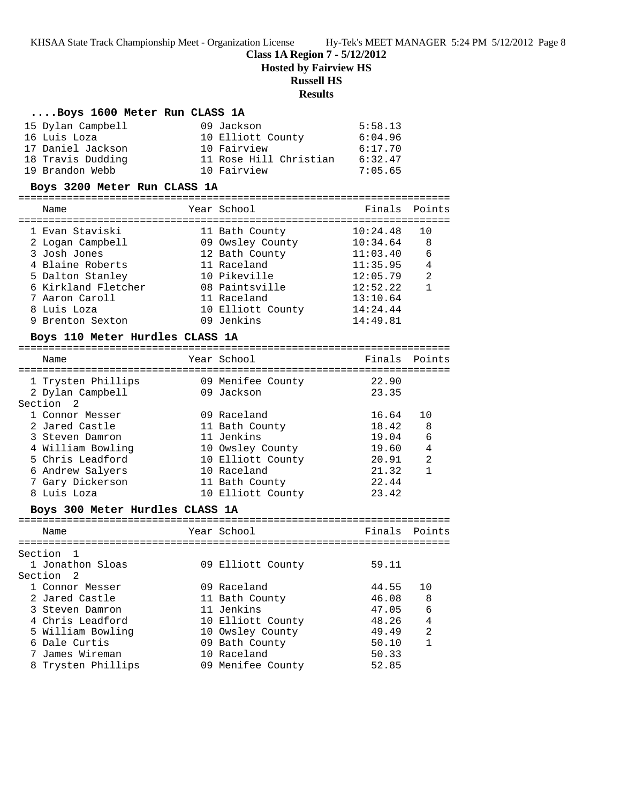### **Class 1A Region 7 - 5/12/2012**

**Hosted by Fairview HS**

### **Russell HS**

### **Results**

#### **....Boys 1600 Meter Run CLASS 1A**

| 15 Dylan Campbell | 09 Jackson             | 5:58.13 |
|-------------------|------------------------|---------|
| 16 Luis Loza      | 10 Elliott County      | 6:04.96 |
| 17 Daniel Jackson | 10 Fairview            | 6:17.70 |
| 18 Travis Dudding | 11 Rose Hill Christian | 6:32.47 |
| 19 Brandon Webb   | 10 Fairview            | 7:05.65 |

#### **Boys 3200 Meter Run CLASS 1A**

| Name                | Year School       | Finals Points |                |
|---------------------|-------------------|---------------|----------------|
| 1 Evan Staviski     | 11 Bath County    | 10:24.48      | 10             |
| 2 Logan Campbell    | 09 Owsley County  | 10:34.64      | 8              |
| 3 Josh Jones        | 12 Bath County    | 11:03.40      | 6              |
| 4 Blaine Roberts    | 11 Raceland       | 11:35.95      | 4              |
| 5 Dalton Stanley    | 10 Pikeville      | 12:05.79      | $\mathfrak{D}$ |
| 6 Kirkland Fletcher | 08 Paintsville    | 12:52.22      |                |
| 7 Aaron Caroll      | 11 Raceland       | 13:10.64      |                |
| 8 Luis Loza         | 10 Elliott County | 14:24.44      |                |
| 9 Brenton Sexton    | 09 Jenkins        | 14:49.81      |                |
|                     |                   |               |                |

#### **Boys 110 Meter Hurdles CLASS 1A**

| Name                                                           | Year School                     | Finals Points  |                |
|----------------------------------------------------------------|---------------------------------|----------------|----------------|
| 1 Trysten Phillips<br>2 Dylan Campbell<br>Section <sub>2</sub> | 09 Menifee County<br>09 Jackson | 22.90<br>23.35 |                |
| 1 Connor Messer                                                | 09 Raceland                     | 16.64          | 1 N            |
| 2 Jared Castle                                                 | 11 Bath County                  | 18.42          | 8              |
| 3 Steven Damron                                                | 11 Jenkins                      | 19.04          | 6              |
| 4 William Bowling                                              | 10 Owsley County                | 19.60          | 4              |
| 5 Chris Leadford                                               | 10 Elliott County               | 20.91          | $\mathfrak{D}$ |
| 6 Andrew Salyers                                               | 10 Raceland                     | 21.32          |                |
| 7 Gary Dickerson                                               | 11 Bath County                  | 22.44          |                |
| 8 Luis Loza                                                    | 10 Elliott County               | 23.42          |                |

### **Boys 300 Meter Hurdles CLASS 1A**

| Name               | Year School       | Finals Points |     |
|--------------------|-------------------|---------------|-----|
| Section 1          |                   |               |     |
| 1 Jonathon Sloas   | 09 Elliott County | 59.11         |     |
| Section 2          |                   |               |     |
| 1 Connor Messer    | 09 Raceland       | 44.55         | 1 N |
| 2 Jared Castle     | 11 Bath County    | 46.08         | 8   |
| 3 Steven Damron    | 11 Jenkins        | 47.05         | 6   |
| 4 Chris Leadford   | 10 Elliott County | 48.26         | 4   |
| 5 William Bowling  | 10 Owsley County  | 49.49         | 2   |
| 6 Dale Curtis      | 09 Bath County    | 50.10         |     |
| 7 James Wireman    | 10 Raceland       | 50.33         |     |
| 8 Trysten Phillips | 09 Menifee County | 52.85         |     |
|                    |                   |               |     |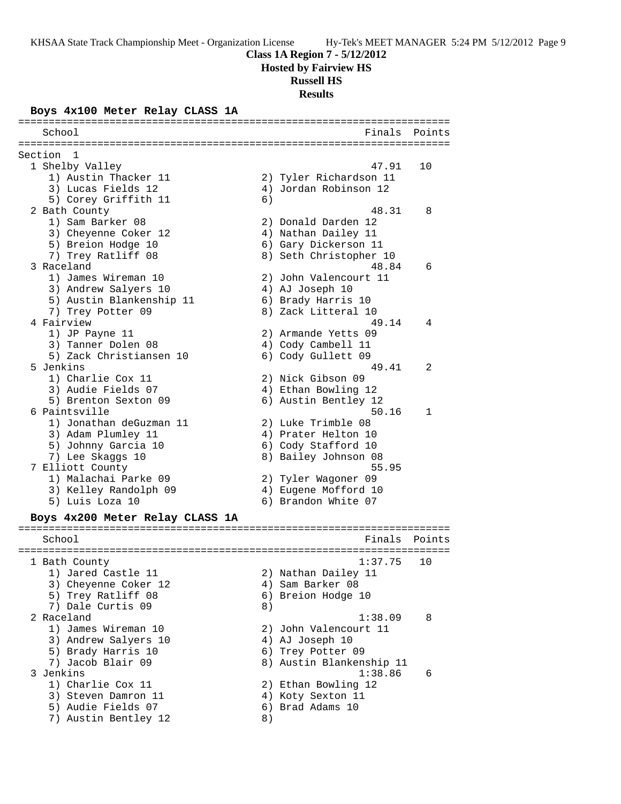#### **Class 1A Region 7 - 5/12/2012**

**Hosted by Fairview HS**

#### **Russell HS**

**Results**

#### **Boys 4x100 Meter Relay CLASS 1A**

======================================================================= School **Finals** Points **Points** ======================================================================= Section 1<br>1 Shelby Valley 1 Shelby Valley 47.91 10 1) Austin Thacker 11 2) Tyler Richardson 11 3) Lucas Fields 12 4) Jordan Robinson 12 5) Corey Griffith 11 6) 2 Bath County 48.31 8 1) Sam Barker 08 2) Donald Darden 12 3) Cheyenne Coker 12 (4) Nathan Dailey 11 5) Breion Hodge 10 6) Gary Dickerson 11 7) Trey Ratliff 08 8 89 Seth Christopher 10 3 Raceland 48.84 6 1) James Wireman 10 2) John Valencourt 11 3) Andrew Salyers 10 <a>> 4) AJ Joseph 10 5) Austin Blankenship 11 6) Brady Harris 10 7) Trey Potter 09 8) Zack Litteral 10 4 Fairview 19.14 4 1) JP Payne 11 2) Armande Yetts 09 3) Tanner Dolen 08 4) Cody Cambell 11 5) Zack Christiansen 10 6) Cody Gullett 09 5 Jenkins 49.41 2 1) Charlie Cox 11 2) Nick Gibson 09 3) Audie Fields 07 (4) Ethan Bowling 12 5) Brenton Sexton 09 6) Austin Bentley 12 6 Paintsville 50.16 1 1) Jonathan deGuzman 11 2) Luke Trimble 08 3) Adam Plumley 11 (4) Prater Helton 10 5) Johnny Garcia 10 6) Cody Stafford 10 7) Lee Skaggs 10 8) Bailey Johnson 08 7 Elliott County 55.95 1) Malachai Parke 09 2) Tyler Wagoner 09 3) Kelley Randolph 09 4) Eugene Mofford 10 5) Luis Loza 10 6) Brandon White 07 **Boys 4x200 Meter Relay CLASS 1A** ======================================================================= School **Finals** Points ======================================================================= 1 Bath County 1:37.75 10 1) Jared Castle 11 2) Nathan Dailey 11 3) Cheyenne Coker 12 (4) Sam Barker 08 5) Trey Ratliff 08 6) Breion Hodge 10 7) Dale Curtis 09 8) 2 Raceland 1:38.09 8 1) James Wireman 10 2) John Valencourt 11 3) Andrew Salyers 10 <a>> 4) AJ Joseph 10 5) Brady Harris 10 (6) Trey Potter 09 7) Jacob Blair 09 8) Austin Blankenship 11 3 Jenkins 1:38.86 6 1) Charlie Cox 11 2) Ethan Bowling 12 3) Steven Damron 11 (4) Koty Sexton 11 5) Audie Fields 07 (6) Brad Adams 10 7) Austin Bentley 12 (8)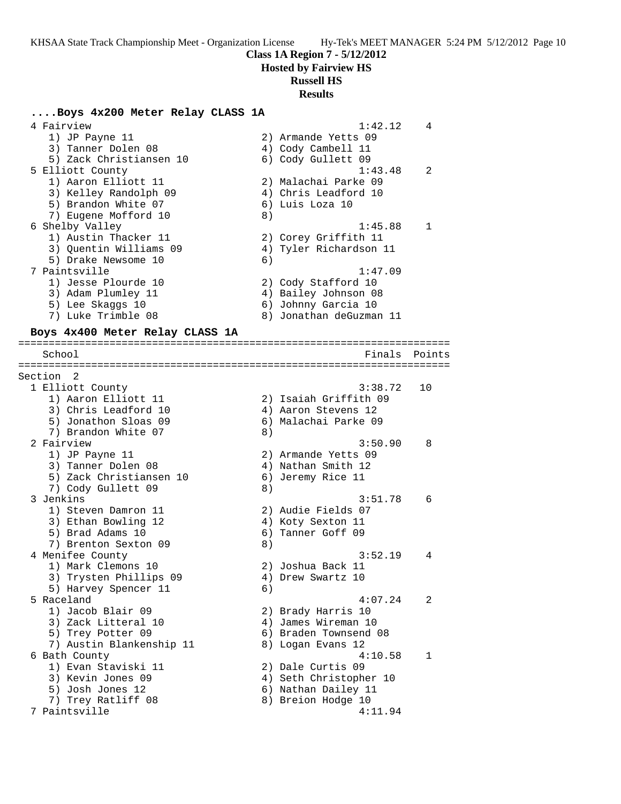### **Class 1A Region 7 - 5/12/2012**

**Hosted by Fairview HS**

## **Russell HS**

### **Results**

### **....Boys 4x200 Meter Relay CLASS 1A**

| 4 Fairview<br>1) JP Payne 11<br>3) Tanner Dolen 08<br>5) Zack Christiansen 10                                                                          |    | 1:42.12<br>2) Armande Yetts 09<br>4) Cody Cambell 11<br>6) Cody Gullett 09                                          | 4      |
|--------------------------------------------------------------------------------------------------------------------------------------------------------|----|---------------------------------------------------------------------------------------------------------------------|--------|
| 5 Elliott County<br>1) Aaron Elliott 11<br>3) Kelley Randolph 09<br>5) Brandon White 07<br>7) Eugene Mofford 10                                        | 8) | 1:43.48<br>2) Malachai Parke 09<br>4) Chris Leadford 10<br>6) Luis Loza 10                                          | 2      |
| 6 Shelby Valley<br>1) Austin Thacker 11<br>3) Quentin Williams 09<br>5) Drake Newsome 10<br>7 Paintsville<br>1) Jesse Plourde 10<br>3) Adam Plumley 11 | 6) | 1:45.88<br>2) Corey Griffith 11<br>4) Tyler Richardson 11<br>1:47.09<br>2) Cody Stafford 10<br>4) Bailey Johnson 08 | 1      |
| 5) Lee Skaggs 10<br>7) Luke Trimble 08<br>Boys 4x400 Meter Relay CLASS 1A                                                                              |    | 6) Johnny Garcia 10<br>8) Jonathan deGuzman 11                                                                      |        |
| School                                                                                                                                                 |    | Finals                                                                                                              | Points |
| Section<br>- 2                                                                                                                                         |    |                                                                                                                     |        |
| 1 Elliott County<br>1) Aaron Elliott 11<br>3) Chris Leadford 10<br>5) Jonathon Sloas 09<br>7) Brandon White 07                                         | 8) | 3:38.72<br>2) Isaiah Griffith 09<br>4) Aaron Stevens 12<br>6) Malachai Parke 09                                     | 10     |
| 2 Fairview<br>1) JP Payne 11<br>3) Tanner Dolen 08<br>5) Zack Christiansen 10<br>7) Cody Gullett 09                                                    | 8) | 3:50.90<br>2) Armande Yetts 09<br>4) Nathan Smith 12<br>6) Jeremy Rice 11                                           | 8      |
| 3 Jenkins<br>1) Steven Damron 11<br>3) Ethan Bowling 12<br>5) Brad Adams 10<br>7) Brenton Sexton 09                                                    | 8) | 3:51.78<br>2) Audie Fields 07<br>4) Koty Sexton 11<br>6) Tanner Goff 09                                             | 6      |
| 4 Menifee County<br>1) Mark Clemons 10<br>3) Trysten Phillips 09<br>5) Harvey Spencer 11                                                               | 6) | 3:52.19<br>2) Joshua Back 11<br>4) Drew Swartz 10                                                                   | 4      |
| 5 Raceland<br>1) Jacob Blair 09<br>3) Zack Litteral 10<br>5) Trey Potter 09<br>7) Austin Blankenship 11                                                |    | 4:07.24<br>2) Brady Harris 10<br>4) James Wireman 10<br>6) Braden Townsend 08<br>8) Logan Evans 12                  | 2      |
| 6 Bath County<br>1) Evan Staviski 11<br>3) Kevin Jones 09<br>5) Josh Jones 12<br>7) Trey Ratliff 08<br>7 Paintsville                                   |    | 4:10.58<br>2) Dale Curtis 09<br>4) Seth Christopher 10<br>6) Nathan Dailey 11<br>8) Breion Hodge 10<br>4:11.94      | 1      |